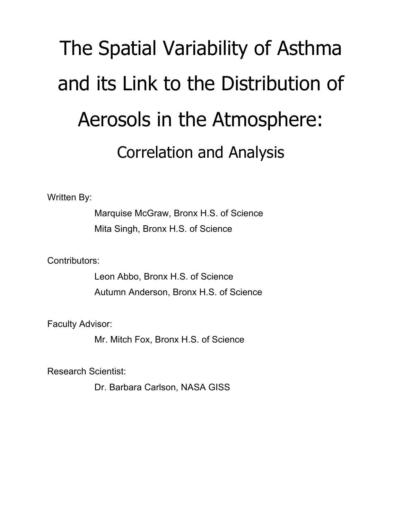# The Spatial Variability of Asthma and its Link to the Distribution of Aerosols in the Atmosphere: Correlation and Analysis

Written By:

Marquise McGraw, Bronx H.S. of Science Mita Singh, Bronx H.S. of Science

Contributors:

Leon Abbo, Bronx H.S. of Science Autumn Anderson, Bronx H.S. of Science

Faculty Advisor:

Mr. Mitch Fox, Bronx H.S. of Science

Research Scientist:

Dr. Barbara Carlson, NASA GISS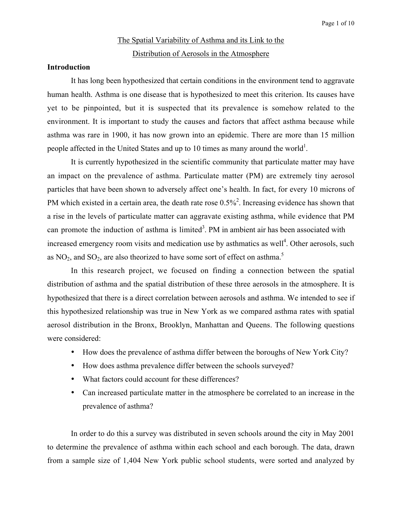# The Spatial Variability of Asthma and its Link to the Distribution of Aerosols in the Atmosphere

#### **Introduction**

It has long been hypothesized that certain conditions in the environment tend to aggravate human health. Asthma is one disease that is hypothesized to meet this criterion. Its causes have yet to be pinpointed, but it is suspected that its prevalence is somehow related to the environment. It is important to study the causes and factors that affect asthma because while asthma was rare in 1900, it has now grown into an epidemic. There are more than 15 million people affected in the United States and up to 10 times as many around the world<sup>1</sup>.

It is currently hypothesized in the scientific community that particulate matter may have an impact on the prevalence of asthma. Particulate matter (PM) are extremely tiny aerosol particles that have been shown to adversely affect one's health. In fact, for every 10 microns of PM which existed in a certain area, the death rate rose  $0.5\%$ <sup>2</sup>. Increasing evidence has shown that a rise in the levels of particulate matter can aggravate existing asthma, while evidence that PM can promote the induction of asthma is limited<sup>3</sup>. PM in ambient air has been associated with increased emergency room visits and medication use by asthmatics as well<sup>4</sup>. Other aerosols, such as  $NO<sub>2</sub>$ , and  $SO<sub>2</sub>$ , are also theorized to have some sort of effect on asthma.<sup>5</sup>

In this research project, we focused on finding a connection between the spatial distribution of asthma and the spatial distribution of these three aerosols in the atmosphere. It is hypothesized that there is a direct correlation between aerosols and asthma. We intended to see if this hypothesized relationship was true in New York as we compared asthma rates with spatial aerosol distribution in the Bronx, Brooklyn, Manhattan and Queens. The following questions were considered:

How does the prevalence of asthma differ between the boroughs of New York City?

How does asthma prevalence differ between the schools surveyed?

What factors could account for these differences?

Can increased particulate matter in the atmosphere be correlated to an increase in the prevalence of asthma?

In order to do this a survey was distributed in seven schools around the city in May 2001 to determine the prevalence of asthma within each school and each borough. The data, drawn from a sample size of 1,404 New York public school students, were sorted and analyzed by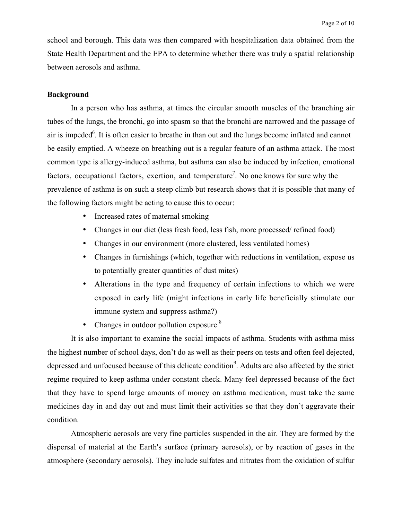school and borough. This data was then compared with hospitalization data obtained from the State Health Department and the EPA to determine whether there was truly a spatial relationship between aerosols and asthma.

## **Background**

In a person who has asthma, at times the circular smooth muscles of the branching air tubes of the lungs, the bronchi, go into spasm so that the bronchi are narrowed and the passage of air is impeded<sup>6</sup>. It is often easier to breathe in than out and the lungs become inflated and cannot be easily emptied. A wheeze on breathing out is a regular feature of an asthma attack. The most common type is allergy-induced asthma, but asthma can also be induced by infection, emotional factors, occupational factors, exertion, and temperature<sup>7</sup>. No one knows for sure why the prevalence of asthma is on such a steep climb but research shows that it is possible that many of the following factors might be acting to cause this to occur:

Increased rates of maternal smoking

Changes in our diet (less fresh food, less fish, more processed/ refined food)

Changes in our environment (more clustered, less ventilated homes)

Changes in furnishings (which, together with reductions in ventilation, expose us to potentially greater quantities of dust mites)

Alterations in the type and frequency of certain infections to which we were exposed in early life (might infections in early life beneficially stimulate our immune system and suppress asthma?)

Changes in outdoor pollution exposure 8

It is also important to examine the social impacts of asthma. Students with asthma miss the highest number of school days, don't do as well as their peers on tests and often feel dejected, depressed and unfocused because of this delicate condition<sup>9</sup>. Adults are also affected by the strict regime required to keep asthma under constant check. Many feel depressed because of the fact that they have to spend large amounts of money on asthma medication, must take the same medicines day in and day out and must limit their activities so that they don't aggravate their condition.

Atmospheric aerosols are very fine particles suspended in the air. They are formed by the dispersal of material at the Earth's surface (primary aerosols), or by reaction of gases in the atmosphere (secondary aerosols). They include sulfates and nitrates from the oxidation of sulfur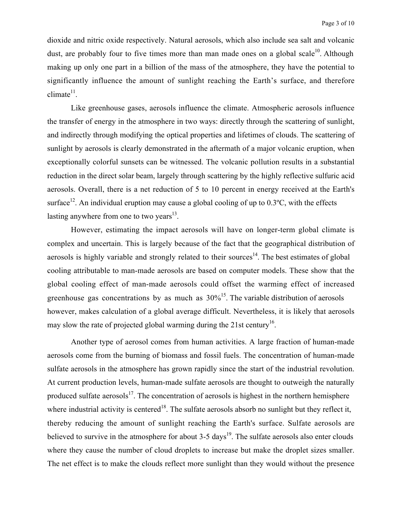dioxide and nitric oxide respectively. Natural aerosols, which also include sea salt and volcanic dust, are probably four to five times more than man made ones on a global scale<sup>10</sup>. Although making up only one part in a billion of the mass of the atmosphere, they have the potential to significantly influence the amount of sunlight reaching the Earth's surface, and therefore  $climate<sup>11</sup>$ .

Like greenhouse gases, aerosols influence the climate. Atmospheric aerosols influence the transfer of energy in the atmosphere in two ways: directly through the scattering of sunlight, and indirectly through modifying the optical properties and lifetimes of clouds. The scattering of sunlight by aerosols is clearly demonstrated in the aftermath of a major volcanic eruption, when exceptionally colorful sunsets can be witnessed. The volcanic pollution results in a substantial reduction in the direct solar beam, largely through scattering by the highly reflective sulfuric acid aerosols. Overall, there is a net reduction of 5 to 10 percent in energy received at the Earth's surface<sup>12</sup>. An individual eruption may cause a global cooling of up to  $0.3$ °C, with the effects lasting anywhere from one to two years $^{13}$ .

However, estimating the impact aerosols will have on longer-term global climate is complex and uncertain. This is largely because of the fact that the geographical distribution of aerosols is highly variable and strongly related to their sources<sup>14</sup>. The best estimates of global cooling attributable to man-made aerosols are based on computer models. These show that the global cooling effect of man-made aerosols could offset the warming effect of increased greenhouse gas concentrations by as much as  $30\%$ <sup>15</sup>. The variable distribution of aerosols however, makes calculation of a global average difficult. Nevertheless, it is likely that aerosols may slow the rate of projected global warming during the 21st century<sup>16</sup>.

Another type of aerosol comes from human activities. A large fraction of human-made aerosols come from the burning of biomass and fossil fuels. The concentration of human-made sulfate aerosols in the atmosphere has grown rapidly since the start of the industrial revolution. At current production levels, human-made sulfate aerosols are thought to outweigh the naturally produced sulfate aerosols<sup>17</sup>. The concentration of aerosols is highest in the northern hemisphere where industrial activity is centered<sup>18</sup>. The sulfate aerosols absorb no sunlight but they reflect it, thereby reducing the amount of sunlight reaching the Earth's surface. Sulfate aerosols are believed to survive in the atmosphere for about  $3-5 \text{ days}^{19}$ . The sulfate aerosols also enter clouds where they cause the number of cloud droplets to increase but make the droplet sizes smaller. The net effect is to make the clouds reflect more sunlight than they would without the presence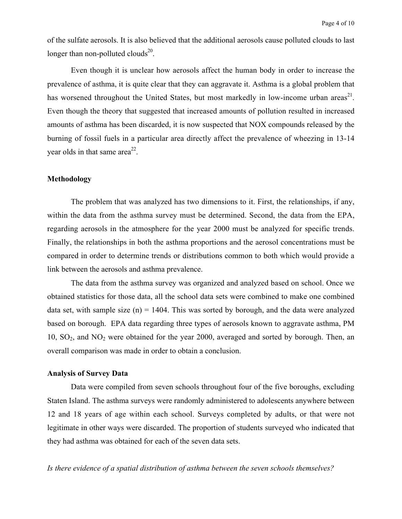of the sulfate aerosols. It is also believed that the additional aerosols cause polluted clouds to last longer than non-polluted clouds $^{20}$ .

Even though it is unclear how aerosols affect the human body in order to increase the prevalence of asthma, it is quite clear that they can aggravate it. Asthma is a global problem that has worsened throughout the United States, but most markedly in low-income urban areas<sup>21</sup>. Even though the theory that suggested that increased amounts of pollution resulted in increased amounts of asthma has been discarded, it is now suspected that NOX compounds released by the burning of fossil fuels in a particular area directly affect the prevalence of wheezing in 13-14 year olds in that same area<sup>22</sup>.

#### **Methodology**

The problem that was analyzed has two dimensions to it. First, the relationships, if any, within the data from the asthma survey must be determined. Second, the data from the EPA, regarding aerosols in the atmosphere for the year 2000 must be analyzed for specific trends. Finally, the relationships in both the asthma proportions and the aerosol concentrations must be compared in order to determine trends or distributions common to both which would provide a link between the aerosols and asthma prevalence.

The data from the asthma survey was organized and analyzed based on school. Once we obtained statistics for those data, all the school data sets were combined to make one combined data set, with sample size  $(n) = 1404$ . This was sorted by borough, and the data were analyzed based on borough. EPA data regarding three types of aerosols known to aggravate asthma, PM 10, SO2, and NO2 were obtained for the year 2000, averaged and sorted by borough. Then, an overall comparison was made in order to obtain a conclusion.

#### **Analysis of Survey Data**

Data were compiled from seven schools throughout four of the five boroughs, excluding Staten Island. The asthma surveys were randomly administered to adolescents anywhere between 12 and 18 years of age within each school. Surveys completed by adults, or that were not legitimate in other ways were discarded. The proportion of students surveyed who indicated that they had asthma was obtained for each of the seven data sets.

*Is there evidence of a spatial distribution of asthma between the seven schools themselves?*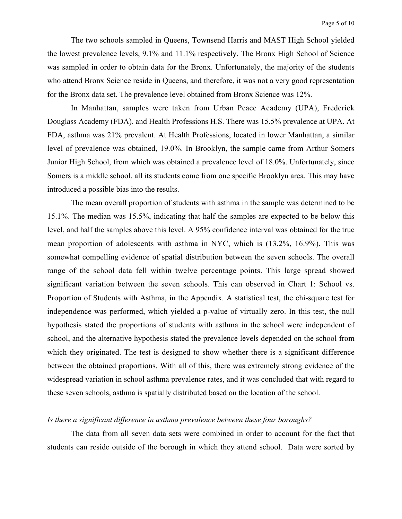The two schools sampled in Queens, Townsend Harris and MAST High School yielded the lowest prevalence levels, 9.1% and 11.1% respectively. The Bronx High School of Science was sampled in order to obtain data for the Bronx. Unfortunately, the majority of the students who attend Bronx Science reside in Queens, and therefore, it was not a very good representation for the Bronx data set. The prevalence level obtained from Bronx Science was 12%.

In Manhattan, samples were taken from Urban Peace Academy (UPA), Frederick Douglass Academy (FDA). and Health Professions H.S. There was 15.5% prevalence at UPA. At FDA, asthma was 21% prevalent. At Health Professions, located in lower Manhattan, a similar level of prevalence was obtained, 19.0%. In Brooklyn, the sample came from Arthur Somers Junior High School, from which was obtained a prevalence level of 18.0%. Unfortunately, since Somers is a middle school, all its students come from one specific Brooklyn area. This may have introduced a possible bias into the results.

The mean overall proportion of students with asthma in the sample was determined to be 15.1%. The median was 15.5%, indicating that half the samples are expected to be below this level, and half the samples above this level. A 95% confidence interval was obtained for the true mean proportion of adolescents with asthma in NYC, which is (13.2%, 16.9%). This was somewhat compelling evidence of spatial distribution between the seven schools. The overall range of the school data fell within twelve percentage points. This large spread showed significant variation between the seven schools. This can observed in Chart 1: School vs. Proportion of Students with Asthma, in the Appendix. A statistical test, the chi-square test for independence was performed, which yielded a p-value of virtually zero. In this test, the null hypothesis stated the proportions of students with asthma in the school were independent of school, and the alternative hypothesis stated the prevalence levels depended on the school from which they originated. The test is designed to show whether there is a significant difference between the obtained proportions. With all of this, there was extremely strong evidence of the widespread variation in school asthma prevalence rates, and it was concluded that with regard to these seven schools, asthma is spatially distributed based on the location of the school.

# *Is there a significant difference in asthma prevalence between these four boroughs?*

The data from all seven data sets were combined in order to account for the fact that students can reside outside of the borough in which they attend school. Data were sorted by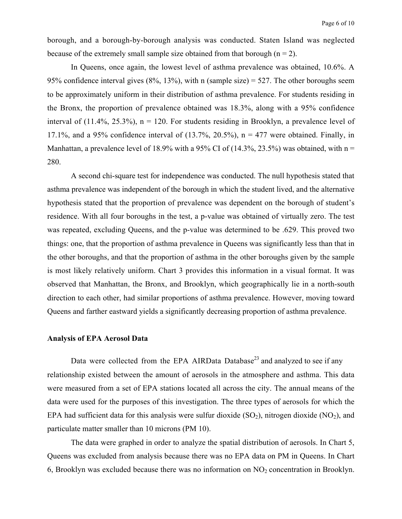borough, and a borough-by-borough analysis was conducted. Staten Island was neglected because of the extremely small sample size obtained from that borough  $(n = 2)$ .

In Queens, once again, the lowest level of asthma prevalence was obtained, 10.6%. A 95% confidence interval gives  $(8\%$ , 13%), with n (sample size) = 527. The other boroughs seem to be approximately uniform in their distribution of asthma prevalence. For students residing in the Bronx, the proportion of prevalence obtained was 18.3%, along with a 95% confidence interval of  $(11.4\%, 25.3\%)$ , n = 120. For students residing in Brooklyn, a prevalence level of 17.1%, and a 95% confidence interval of  $(13.7\%$ ,  $20.5\%$ ), n = 477 were obtained. Finally, in Manhattan, a prevalence level of 18.9% with a 95% CI of  $(14.3\%, 23.5\%)$  was obtained, with n = 280.

A second chi-square test for independence was conducted. The null hypothesis stated that asthma prevalence was independent of the borough in which the student lived, and the alternative hypothesis stated that the proportion of prevalence was dependent on the borough of student's residence. With all four boroughs in the test, a p-value was obtained of virtually zero. The test was repeated, excluding Queens, and the p-value was determined to be .629. This proved two things: one, that the proportion of asthma prevalence in Queens was significantly less than that in the other boroughs, and that the proportion of asthma in the other boroughs given by the sample is most likely relatively uniform. Chart 3 provides this information in a visual format. It was observed that Manhattan, the Bronx, and Brooklyn, which geographically lie in a north-south direction to each other, had similar proportions of asthma prevalence. However, moving toward Queens and farther eastward yields a significantly decreasing proportion of asthma prevalence.

#### **Analysis of EPA Aerosol Data**

Data were collected from the EPA AIRData Database<sup>23</sup> and analyzed to see if any relationship existed between the amount of aerosols in the atmosphere and asthma. This data were measured from a set of EPA stations located all across the city. The annual means of the data were used for the purposes of this investigation. The three types of aerosols for which the EPA had sufficient data for this analysis were sulfur dioxide  $(SO<sub>2</sub>)$ , nitrogen dioxide  $(NO<sub>2</sub>)$ , and particulate matter smaller than 10 microns (PM 10).

The data were graphed in order to analyze the spatial distribution of aerosols. In Chart 5, Queens was excluded from analysis because there was no EPA data on PM in Queens. In Chart 6, Brooklyn was excluded because there was no information on  $NO<sub>2</sub>$  concentration in Brooklyn.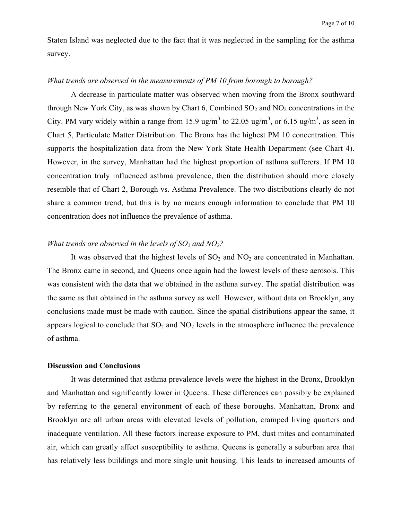Staten Island was neglected due to the fact that it was neglected in the sampling for the asthma survey.

### *What trends are observed in the measurements of PM 10 from borough to borough?*

A decrease in particulate matter was observed when moving from the Bronx southward through New York City, as was shown by Chart 6, Combined  $SO<sub>2</sub>$  and  $NO<sub>2</sub>$  concentrations in the City. PM vary widely within a range from 15.9 ug/m<sup>3</sup> to 22.05 ug/m<sup>3</sup>, or 6.15 ug/m<sup>3</sup>, as seen in Chart 5, Particulate Matter Distribution. The Bronx has the highest PM 10 concentration. This supports the hospitalization data from the New York State Health Department (see Chart 4). However, in the survey, Manhattan had the highest proportion of asthma sufferers. If PM 10 concentration truly influenced asthma prevalence, then the distribution should more closely resemble that of Chart 2, Borough vs. Asthma Prevalence. The two distributions clearly do not share a common trend, but this is by no means enough information to conclude that PM 10 concentration does not influence the prevalence of asthma.

# *What trends are observed in the levels of SO<sub>2</sub> and NO<sub>2</sub>?*

It was observed that the highest levels of  $SO_2$  and  $NO_2$  are concentrated in Manhattan. The Bronx came in second, and Queens once again had the lowest levels of these aerosols. This was consistent with the data that we obtained in the asthma survey. The spatial distribution was the same as that obtained in the asthma survey as well. However, without data on Brooklyn, any conclusions made must be made with caution. Since the spatial distributions appear the same, it appears logical to conclude that  $SO_2$  and  $NO_2$  levels in the atmosphere influence the prevalence of asthma.

#### **Discussion and Conclusions**

It was determined that asthma prevalence levels were the highest in the Bronx, Brooklyn and Manhattan and significantly lower in Queens. These differences can possibly be explained by referring to the general environment of each of these boroughs. Manhattan, Bronx and Brooklyn are all urban areas with elevated levels of pollution, cramped living quarters and inadequate ventilation. All these factors increase exposure to PM, dust mites and contaminated air, which can greatly affect susceptibility to asthma. Queens is generally a suburban area that has relatively less buildings and more single unit housing. This leads to increased amounts of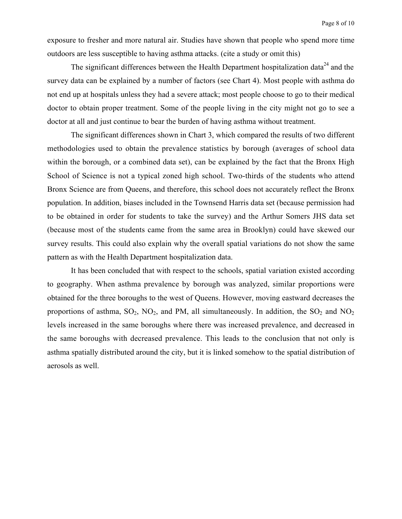exposure to fresher and more natural air. Studies have shown that people who spend more time outdoors are less susceptible to having asthma attacks. (cite a study or omit this)

The significant differences between the Health Department hospitalization data<sup>24</sup> and the survey data can be explained by a number of factors (see Chart 4). Most people with asthma do not end up at hospitals unless they had a severe attack; most people choose to go to their medical doctor to obtain proper treatment. Some of the people living in the city might not go to see a doctor at all and just continue to bear the burden of having asthma without treatment.

The significant differences shown in Chart 3, which compared the results of two different methodologies used to obtain the prevalence statistics by borough (averages of school data within the borough, or a combined data set), can be explained by the fact that the Bronx High School of Science is not a typical zoned high school. Two-thirds of the students who attend Bronx Science are from Queens, and therefore, this school does not accurately reflect the Bronx population. In addition, biases included in the Townsend Harris data set (because permission had to be obtained in order for students to take the survey) and the Arthur Somers JHS data set (because most of the students came from the same area in Brooklyn) could have skewed our survey results. This could also explain why the overall spatial variations do not show the same pattern as with the Health Department hospitalization data.

It has been concluded that with respect to the schools, spatial variation existed according to geography. When asthma prevalence by borough was analyzed, similar proportions were obtained for the three boroughs to the west of Queens. However, moving eastward decreases the proportions of asthma,  $SO_2$ ,  $NO_2$ , and PM, all simultaneously. In addition, the  $SO_2$  and  $NO_2$ levels increased in the same boroughs where there was increased prevalence, and decreased in the same boroughs with decreased prevalence. This leads to the conclusion that not only is asthma spatially distributed around the city, but it is linked somehow to the spatial distribution of aerosols as well.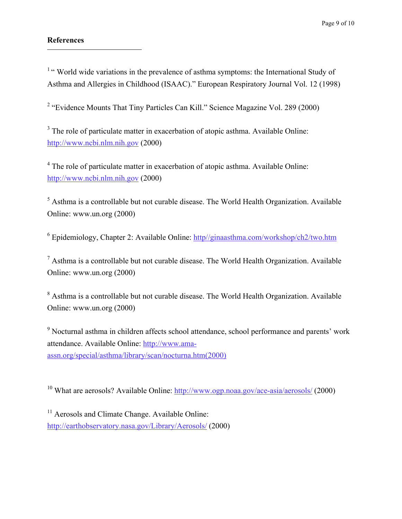### **References**

 $\overline{a}$ 

<sup>1</sup> " World wide variations in the prevalence of asthma symptoms: the International Study of Asthma and Allergies in Childhood (ISAAC)." European Respiratory Journal Vol. 12 (1998)

<sup>2</sup> "Evidence Mounts That Tiny Particles Can Kill." Science Magazine Vol. 289 (2000)

 $3$  The role of particulate matter in exacerbation of atopic asthma. Available Online: http://www.ncbi.nlm.nih.gov (2000)

<sup>4</sup> The role of particulate matter in exacerbation of atopic asthma. Available Online: http://www.ncbi.nlm.nih.gov (2000)

 $<sup>5</sup>$  Asthma is a controllable but not curable disease. The World Health Organization. Available</sup> Online: www.un.org (2000)

<sup>6</sup> Epidemiology, Chapter 2: Available Online: http//ginaasthma.com/workshop/ch2/two.htm

 $<sup>7</sup>$  Asthma is a controllable but not curable disease. The World Health Organization. Available</sup> Online: www.un.org (2000)

<sup>8</sup> Asthma is a controllable but not curable disease. The World Health Organization. Available Online: www.un.org (2000)

<sup>9</sup> Nocturnal asthma in children affects school attendance, school performance and parents' work attendance. Available Online: http://www.amaassn.org/special/asthma/library/scan/nocturna.htm(2000)

<sup>10</sup> What are aerosols? Available Online: http://www.ogp.noaa.gov/ace-asia/aerosols/ (2000)

<sup>11</sup> Aerosols and Climate Change. Available Online: http://earthobservatory.nasa.gov/Library/Aerosols/ (2000)